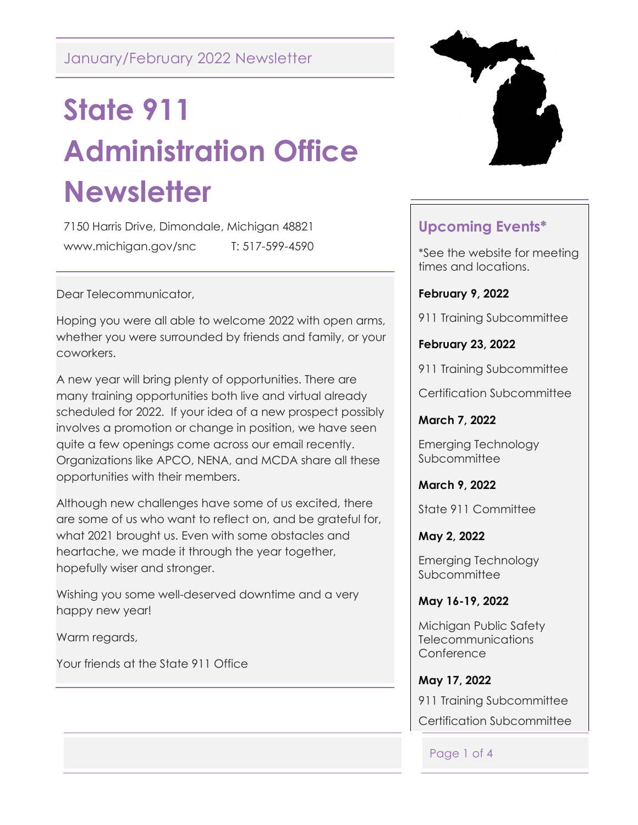# **State 911 Administration Office Newsletter**

7150 Harris Drive, Dimondale, Michigan 48821 www.michigan.gov/snc T: 517-599-4590

Dear Telecommunicator,

Hoping you were all able to welcome 2022 with open arms, whether you were surrounded by friends and family, or your coworkers.

A new year will bring plenty of opportunities. There are many training opportunities both live and virtual already scheduled for 2022. If your idea of a new prospect possibly involves a promotion or change in position, we have seen quite a few openings come across our email recently. Organizations like APCO, NENA, and MCDA share all these opportunities with their members.

Although new challenges have some of us excited, there are some of us who want to reflect on, and be grateful for, what 2021 brought us. Even with some obstacles and heartache, we made it through the year together, hopefully wiser and stronger.

Wishing you some well-deserved downtime and a very happy new year!

Warm regards,

Your friends at the State 911 Office



## **Upcoming Events\***

\*See the website for meeting times and locations.

**February 9, 2022**

911 Training Subcommittee

**February 23, 2022**

911 Training Subcommittee

Certification Subcommittee

**March 7, 2022**

Emerging Technology **Subcommittee** 

**March 9, 2022**

State 911 Committee

**May 2, 2022**

Emerging Technology **Subcommittee** 

**May 16-19, 2022**

Michigan Public Safety **Telecommunications Conference** 

**May 17, 2022** 911 Training Subcommittee Certification Subcommittee

Page 1 of 4

ł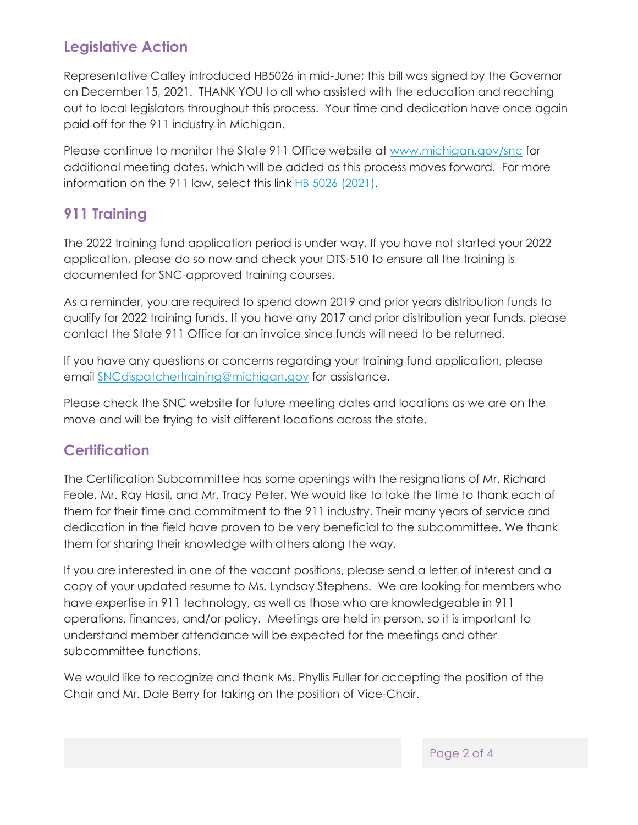### **Legislative Action**

Representative Calley introduced HB5026 in mid-June; this bill was signed by the Governor on December 15, 2021. THANK YOU to all who assisted with the education and reaching out to local legislators throughout this process. Your time and dedication have once again paid off for the 911 industry in Michigan.

Please continue to monitor the State 911 Office website at [www.michigan.gov/snc](http://www.michigan.gov/snc) for additional meeting dates, which will be added as this process moves forward. For more information on the 911 law, select this link [HB 5026 \(2021\).](http://www.legislature.mi.gov/documents/2021-2022/publicact/pdf/2021-PA-0126.pdf)

#### **911 Training**

The 2022 training fund application period is under way. If you have not started your 2022 application, please do so now and check your DTS-510 to ensure all the training is documented for SNC-approved training courses.

As a reminder, you are required to spend down 2019 and prior years distribution funds to qualify for 2022 training funds. If you have any 2017 and prior distribution year funds, please contact the State 911 Office for an invoice since funds will need to be returned.

If you have any questions or concerns regarding your training fund application, please email [SNCdispatchertraining@michigan.gov](mailto:SNCdispatchertraining@michigan.gov) for assistance.

Please check the SNC website for future meeting dates and locations as we are on the move and will be trying to visit different locations across the state.

#### **Certification**

The Certification Subcommittee has some openings with the resignations of Mr. Richard Feole, Mr. Ray Hasil, and Mr. Tracy Peter. We would like to take the time to thank each of them for their time and commitment to the 911 industry. Their many years of service and dedication in the field have proven to be very beneficial to the subcommittee. We thank them for sharing their knowledge with others along the way.

If you are interested in one of the vacant positions, please send a letter of interest and a copy of your updated resume to Ms. Lyndsay Stephens. We are looking for members who have expertise in 911 technology, as well as those who are knowledgeable in 911 operations, finances, and/or policy. Meetings are held in person, so it is important to understand member attendance will be expected for the meetings and other subcommittee functions.

We would like to recognize and thank Ms. Phyllis Fuller for accepting the position of the Chair and Mr. Dale Berry for taking on the position of Vice-Chair.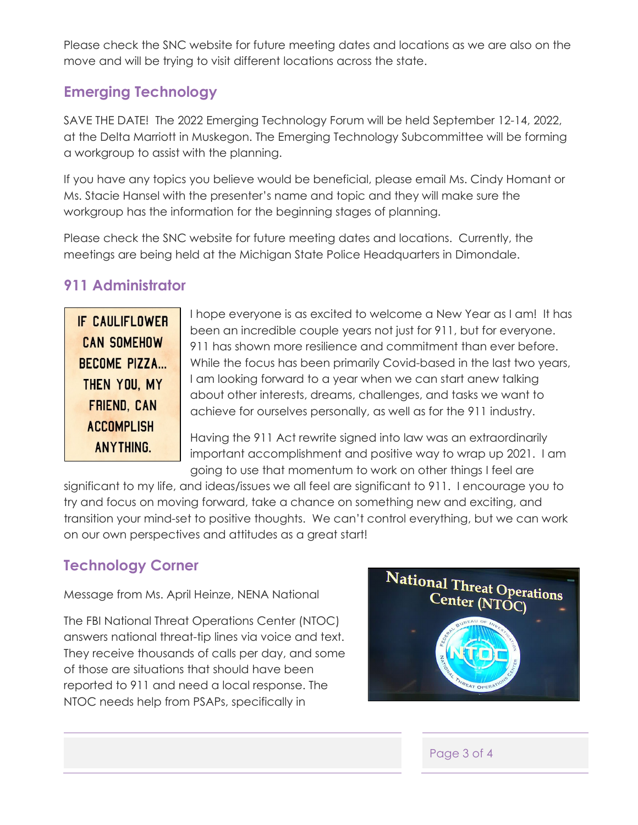Please check the SNC website for future meeting dates and locations as we are also on the move and will be trying to visit different locations across the state.

#### **Emerging Technology**

SAVE THE DATE! The 2022 Emerging Technology Forum will be held September 12-14, 2022, at the Delta Marriott in Muskegon. The Emerging Technology Subcommittee will be forming a workgroup to assist with the planning.

If you have any topics you believe would be beneficial, please email Ms. Cindy Homant or Ms. Stacie Hansel with the presenter's name and topic and they will make sure the workgroup has the information for the beginning stages of planning.

Please check the SNC website for future meeting dates and locations. Currently, the meetings are being held at the Michigan State Police Headquarters in Dimondale.

#### **911 Administrator**

IF CAULIFLOWER **CAN SOMEHOW** BECOME PIZZA... THEN YOU, MY **FRIEND, CAN ACCOMPLISH** ANYTHING.

I hope everyone is as excited to welcome a New Year as I am! It has been an incredible couple years not just for 911, but for everyone. 911 has shown more resilience and commitment than ever before. While the focus has been primarily Covid-based in the last two years, I am looking forward to a year when we can start anew talking about other interests, dreams, challenges, and tasks we want to achieve for ourselves personally, as well as for the 911 industry.

Having the 911 Act rewrite signed into law was an extraordinarily important accomplishment and positive way to wrap up 2021. I am going to use that momentum to work on other things I feel are

significant to my life, and ideas/issues we all feel are significant to 911. I encourage you to try and focus on moving forward, take a chance on something new and exciting, and transition your mind-set to positive thoughts. We can't control everything, but we can work on our own perspectives and attitudes as a great start!

#### **Technology Corner**

Message from Ms. April Heinze, NENA National

The FBI National Threat Operations Center (NTOC) answers national threat-tip lines via voice and text. They receive thousands of calls per day, and some of those are situations that should have been reported to 911 and need a local response. The NTOC needs help from PSAPs, specifically in



#### Page 3 of 4